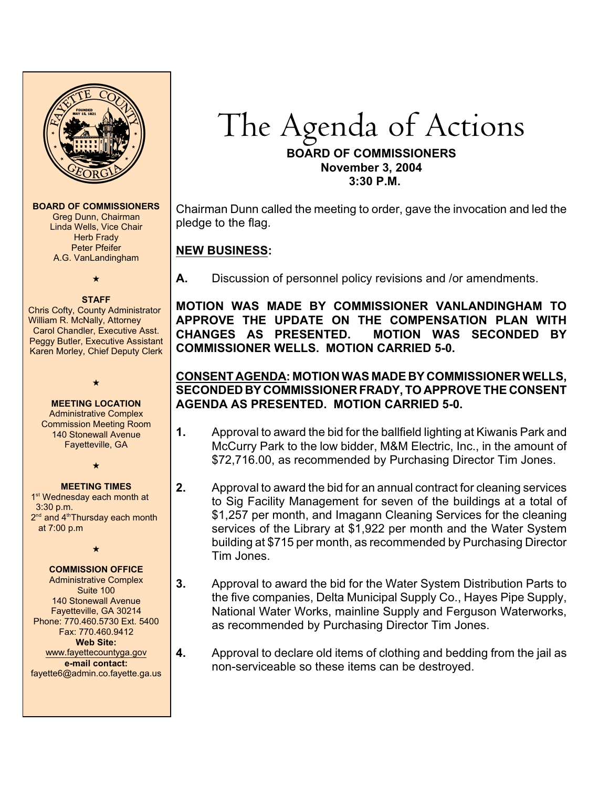

**BOARD OF COMMISSIONERS** Greg Dunn, Chairman Linda Wells, Vice Chair

Herb Frady Peter Pfeifer A.G. VanLandingham

# $\overline{\phantom{a}}$

**STAFF** Chris Cofty, County Administrator William R. McNally, Attorney Carol Chandler, Executive Asst. Peggy Butler, Executive Assistant Karen Morley, Chief Deputy Clerk

```
\star
```
**MEETING LOCATION** Administrative Complex Commission Meeting Room 140 Stonewall Avenue Fayetteville, GA

 $\star$ 

#### **MEETING TIMES**

1<sup>st</sup> Wednesday each month at 3:30 p.m.  $2<sup>nd</sup>$  and  $4<sup>th</sup>$ Thursday each month at 7:00 p.m

 $\star$ 

#### **COMMISSION OFFICE**

Administrative Complex Suite 100 140 Stonewall Avenue Fayetteville, GA 30214 Phone: 770.460.5730 Ext. 5400 Fax: 770.460.9412 **Web Site:** [www.fayettecountyga.gov](http://www.admin.co.fayette.ga.us) **e-mail contact:** fayette6@admin.co.fayette.ga.us The Agenda *of Actions*

#### **BOARD OF COMMISSIONERS November 3, 2004 3:30 P.M.**

Chairman Dunn called the meeting to order, gave the invocation and led the pledge to the flag.

## **NEW BUSINESS:**

**A.** Discussion of personnel policy revisions and /or amendments.

**MOTION WAS MADE BY COMMISSIONER VANLANDINGHAM TO APPROVE THE UPDATE ON THE COMPENSATION PLAN WITH CHANGES AS PRESENTED. MOTION WAS SECONDED BY COMMISSIONER WELLS. MOTION CARRIED 5-0.**

## **CONSENT AGENDA: MOTION WAS MADE BY COMMISSIONER WELLS, SECONDED BY COMMISSIONER FRADY, TO APPROVE THE CONSENT AGENDA AS PRESENTED. MOTION CARRIED 5-0.**

- **1.** Approval to award the bid for the ballfield lighting at Kiwanis Park and McCurry Park to the low bidder, M&M Electric, Inc., in the amount of \$72,716.00, as recommended by Purchasing Director Tim Jones.
- **2.** Approval to award the bid for an annual contract for cleaning services to Sig Facility Management for seven of the buildings at a total of \$1,257 per month, and Imagann Cleaning Services for the cleaning services of the Library at \$1,922 per month and the Water System building at \$715 per month, as recommended by Purchasing Director Tim Jones.
- **3.** Approval to award the bid for the Water System Distribution Parts to the five companies, Delta Municipal Supply Co., Hayes Pipe Supply, National Water Works, mainline Supply and Ferguson Waterworks, as recommended by Purchasing Director Tim Jones.
- **4.** Approval to declare old items of clothing and bedding from the jail as non-serviceable so these items can be destroyed.